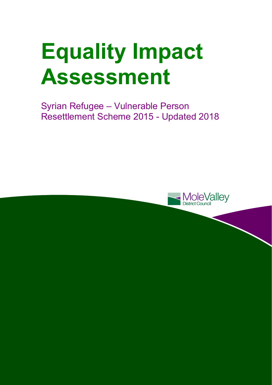# **Equality Impact Assessment**

Syrian Refugee – Vulnerable Person Resettlement Scheme 2015 - Updated 2018

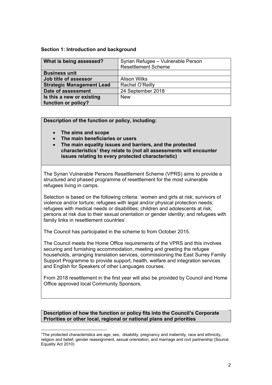#### **Section 1: Introduction and background**

| What is being assessed?          | Syrian Refugee - Vulnerable Person<br><b>Resettlement Scheme</b> |
|----------------------------------|------------------------------------------------------------------|
| <b>Business unit</b>             |                                                                  |
| Job title of assessor            | <b>Alison Wilks</b>                                              |
| <b>Strategic Management Lead</b> | Rachel O'Reilly                                                  |
| Date of assessment               | 24 September 2018                                                |
| Is this a new or existing        | <b>New</b>                                                       |
| function or policy?              |                                                                  |

**Description of the function or policy, including:** 

**The aims and scope** 

l

- **The main beneficiaries or users**
- **The main equality issues and barriers, and the protected characteristics**<sup>1</sup> **they relate to (not all assessments will encounter issues relating to every protected characteristic)**

The Syrian Vulnerable Persons Resettlement Scheme (VPRS) aims to provide a structured and phased programme of resettlement for the most vulnerable refugees living in camps.

Selection is based on the following criteria: 'women and girls at risk; survivors of violence and/or torture; refugees with legal and/or physical protection needs; refugees with medical needs or disabilities; children and adolescents at risk; persons at risk due to their sexual orientation or gender identity; and refugees with family links in resettlement countries'.

The Council has participated in the scheme to from October 2015.

The Council meets the Home Office requirements of the VPRS and this involves securing and furnishing accommodation, meeting and greeting the refugee households, arranging translation services, commissioning the East Surrey Family Support Programme to provide support, health, welfare and integration services and English for Speakers of other Languages courses.

From 2018 resettlement in the first year will also be provided by Council and Home Office approved local Community Sponsors.

#### **Description of how the function or policy fits into the Council's Corporate Priorities or other local, regional or national plans and priorities**

<sup>1</sup>The protected characteristics are age, sex, disability, pregnancy and maternity, race and ethnicity, religion and belief, gender reassignment, sexual orientation, and marriage and civil partnership (Source: Equality Act 2010)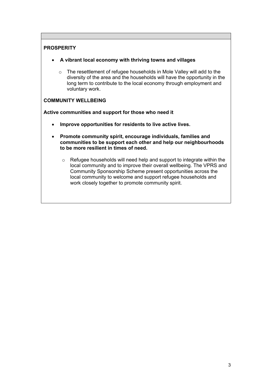# **PROSPERITY**

- **A vibrant local economy with thriving towns and villages** 
	- o The resettlement of refugee households in Mole Valley will add to the diversity of the area and the households will have the opportunity in the long term to contribute to the local economy through employment and voluntary work.

# **COMMUNITY WELLBEING**

**Active communities and support for those who need it** 

- **Improve opportunities for residents to live active lives.**
- **Promote community spirit, encourage individuals, families and communities to be support each other and help our neighbourhoods to be more resilient in times of need.** 
	- o Refugee households will need help and support to integrate within the local community and to improve their overall wellbeing. The VPRS and Community Sponsorship Scheme present opportunities across the local community to welcome and support refugee households and work closely together to promote community spirit.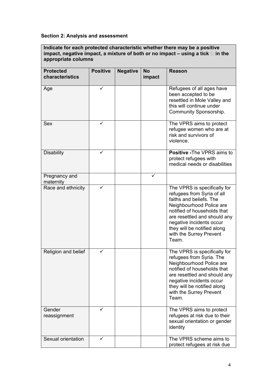# **Section 2: Analysis and assessment**

**Indicate for each protected characteristic whether there may be a positive impact, negative impact, a mixture of both or no impact – using a tick in the appropriate columns** 

| <b>Protected</b><br>characteristics | <b>Positive</b> | <b>Negative</b> | <b>No</b><br>impact | <b>Reason</b>                                                                                                                                                                                                                                                                   |
|-------------------------------------|-----------------|-----------------|---------------------|---------------------------------------------------------------------------------------------------------------------------------------------------------------------------------------------------------------------------------------------------------------------------------|
| Age                                 | ✓               |                 |                     | Refugees of all ages have<br>been accepted to be<br>resettled in Mole Valley and<br>this will continue under<br>Community Sponsorship.                                                                                                                                          |
| Sex                                 |                 |                 |                     | The VPRS aims to protect<br>refugee women who are at<br>risk and survivors of<br>violence.                                                                                                                                                                                      |
| <b>Disability</b>                   |                 |                 |                     | <b>Positive - The VPRS aims to</b><br>protect refugees with<br>medical needs or disabilities                                                                                                                                                                                    |
| Pregnancy and<br>maternity          |                 |                 |                     |                                                                                                                                                                                                                                                                                 |
| Race and ethnicity                  | ✓               |                 |                     | The VPRS is specifically for<br>refugees from Syria of all<br>faiths and beliefs. The<br>Neighbourhood Police are<br>notified of households that<br>are resettled and should any<br>negative incidents occur<br>they will be notified along<br>with the Surrey Prevent<br>Team. |
| Religion and belief                 | ✓               |                 |                     | The VPRS is specifically for<br>refugees from Syria. The<br>Neighbourhood Police are<br>notified of households that<br>are resettled and should any<br>negative incidents occur<br>they will be notified along<br>with the Surrey Prevent<br>Team.                              |
| Gender<br>reassignment              |                 |                 |                     | The VPRS aims to protect<br>refugees at risk due to their<br>sexual orientation or gender<br>identity                                                                                                                                                                           |
| Sexual orientation                  | ✓               |                 |                     | The VPRS scheme aims to<br>protect refugees at risk due                                                                                                                                                                                                                         |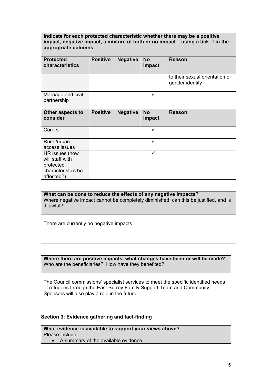#### **Indicate for each protected characteristic whether there may be a positive**  impact, negative impact, a mixture of both or no impact  $-$  using a tick  $\Box$  in the **appropriate columns**

| <b>Protected</b><br>characteristics                                                | <b>Positive</b> | <b>Negative</b> | <b>No</b><br>impact | <b>Reason</b>                                     |  |  |
|------------------------------------------------------------------------------------|-----------------|-----------------|---------------------|---------------------------------------------------|--|--|
|                                                                                    |                 |                 |                     | to their sexual orientation or<br>gender identity |  |  |
| Marriage and civil<br>partnership                                                  |                 |                 | ✓                   |                                                   |  |  |
| Other aspects to<br>consider                                                       | <b>Positive</b> | <b>Negative</b> | <b>No</b><br>impact | <b>Reason</b>                                     |  |  |
| Carers                                                                             |                 |                 | ✓                   |                                                   |  |  |
| Rural/urban<br>access issues                                                       |                 |                 | ✓                   |                                                   |  |  |
| HR issues (how<br>will staff with<br>protected<br>characteristics be<br>affected?) |                 |                 | ✓                   |                                                   |  |  |

**What can be done to reduce the effects of any negative impacts?**  Where negative impact cannot be completely diminished, can this be justified, and is it lawful?

There are currently no negative impacts.

**Where there are positive impacts, what changes have been or will be made?**  Who are the beneficiaries? How have they benefited?

The Council commissions' specialist services to meet the specific identified needs of refugees through the East Surrey Family Support Team and Community Sponsors will also play a role in the future

### **Section 3: Evidence gathering and fact-finding**

**What evidence is available to support your views above?**  Please include:

A summary of the available evidence